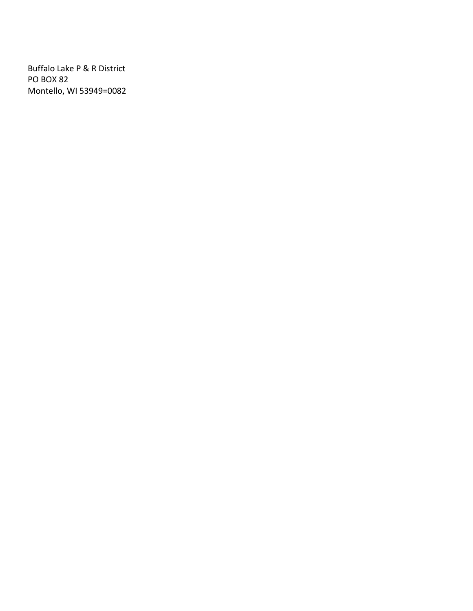Buffalo Lake P & R District PO BOX 82 Montello, WI 53949=0082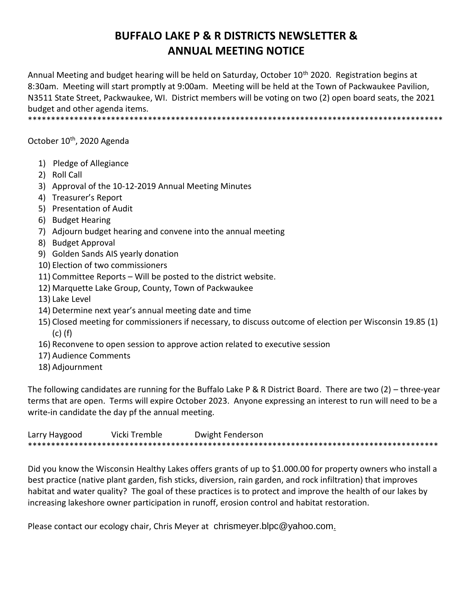## **BUFFALO LAKE P & R DISTRICTS NEWSLETTER & ANNUAL MEETING NOTICE**

Annual Meeting and budget hearing will be held on Saturday, October 10<sup>th</sup> 2020. Registration begins at 8:30am. Meeting will start promptly at 9:00am. Meeting will be held at the Town of Packwaukee Pavilion, N3511 State Street, Packwaukee, WI. District members will be voting on two (2) open board seats, the 2021 budget and other agenda items.

\*\*\*\*\*\*\*\*\*\*\*\*\*\*\*\*\*\*\*\*\*\*\*\*\*\*\*\*\*\*\*\*\*\*\*\*\*\*\*\*\*\*\*\*\*\*\*\*\*\*\*\*\*\*\*\*\*\*\*\*\*\*\*\*\*\*\*\*\*\*\*\*\*\*\*\*\*\*\*\*\*\*\*\*\*\*\*\*\*\*

October 10<sup>th</sup>, 2020 Agenda

- 1) Pledge of Allegiance
- 2) Roll Call
- 3) Approval of the 10-12-2019 Annual Meeting Minutes
- 4) Treasurer's Report
- 5) Presentation of Audit
- 6) Budget Hearing
- 7) Adjourn budget hearing and convene into the annual meeting
- 8) Budget Approval
- 9) Golden Sands AIS yearly donation
- 10) Election of two commissioners
- 11) Committee Reports Will be posted to the district website.
- 12) Marquette Lake Group, County, Town of Packwaukee
- 13) Lake Level
- 14) Determine next year's annual meeting date and time
- 15) Closed meeting for commissioners if necessary, to discuss outcome of election per Wisconsin 19.85 (1) (c) (f)
- 16) Reconvene to open session to approve action related to executive session
- 17) Audience Comments
- 18) Adjournment

The following candidates are running for the Buffalo Lake P & R District Board. There are two (2) – three-year terms that are open. Terms will expire October 2023. Anyone expressing an interest to run will need to be a write-in candidate the day pf the annual meeting.

Larry Haygood Vicki Tremble Dwight Fenderson \*\*\*\*\*\*\*\*\*\*\*\*\*\*\*\*\*\*\*\*\*\*\*\*\*\*\*\*\*\*\*\*\*\*\*\*\*\*\*\*\*\*\*\*\*\*\*\*\*\*\*\*\*\*\*\*\*\*\*\*\*\*\*\*\*\*\*\*\*\*\*\*\*\*\*\*\*\*\*\*\*\*\*\*\*\*\*\*\*

Did you know the Wisconsin Healthy Lakes offers grants of up to \$1.000.00 for property owners who install a best practice (native plant garden, fish sticks, diversion, rain garden, and rock infiltration) that improves habitat and water quality? The goal of these practices is to protect and improve the health of our lakes by increasing lakeshore owner participation in runoff, erosion control and habitat restoration.

Please contact our ecology chair, Chris Meyer at [chrismeyer.blpc@yahoo.com.](mailto:chrismeyer.blpc@yahoo.com)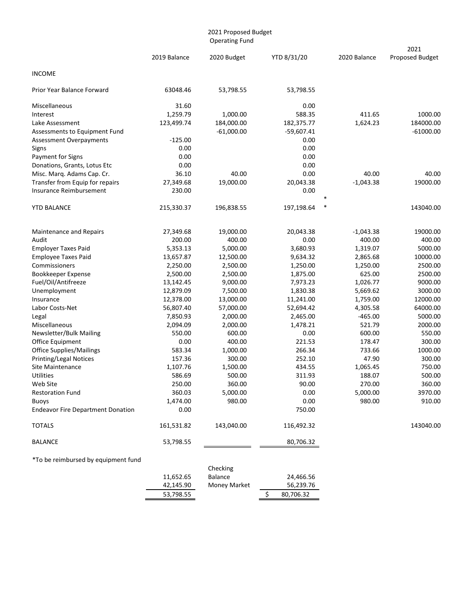|                                                          |                    | 2021 Proposed Budget<br><b>Operating Fund</b> |                      |                    |                         |
|----------------------------------------------------------|--------------------|-----------------------------------------------|----------------------|--------------------|-------------------------|
|                                                          | 2019 Balance       | 2020 Budget                                   | YTD 8/31/20          | 2020 Balance       | 2021<br>Proposed Budget |
| <b>INCOME</b>                                            |                    |                                               |                      |                    |                         |
| Prior Year Balance Forward                               | 63048.46           | 53,798.55                                     | 53,798.55            |                    |                         |
| Miscellaneous                                            | 31.60              |                                               | 0.00                 |                    |                         |
| Interest                                                 | 1,259.79           | 1,000.00                                      | 588.35               | 411.65             | 1000.00                 |
| Lake Assessment                                          | 123,499.74         | 184,000.00                                    | 182,375.77           | 1,624.23           | 184000.00               |
| Assessments to Equipment Fund                            |                    | $-61,000.00$                                  | $-59,607.41$         |                    | $-61000.00$             |
| Assessment Overpayments                                  | $-125.00$          |                                               | 0.00                 |                    |                         |
| Signs                                                    | 0.00               |                                               | 0.00                 |                    |                         |
| Payment for Signs                                        | 0.00               |                                               | 0.00                 |                    |                         |
| Donations, Grants, Lotus Etc                             | 0.00               |                                               | 0.00                 |                    |                         |
| Misc. Marq. Adams Cap. Cr.                               | 36.10              | 40.00                                         | 0.00                 | 40.00              | 40.00                   |
| Transfer from Equip for repairs                          | 27,349.68          | 19,000.00                                     | 20,043.38            | $-1,043.38$        | 19000.00                |
| Insurance Reimbursement                                  | 230.00             |                                               | 0.00                 |                    |                         |
| YTD BALANCE                                              | 215,330.37         | 196,838.55                                    | $\ast$<br>197,198.64 |                    | 143040.00               |
|                                                          |                    |                                               |                      |                    |                         |
| Maintenance and Repairs                                  | 27,349.68          | 19,000.00                                     | 20,043.38            | $-1,043.38$        | 19000.00                |
| Audit                                                    | 200.00             | 400.00                                        | 0.00                 | 400.00             | 400.00                  |
| <b>Employer Taxes Paid</b>                               | 5,353.13           | 5,000.00                                      | 3,680.93             | 1,319.07           | 5000.00                 |
| <b>Employee Taxes Paid</b>                               | 13,657.87          | 12,500.00                                     | 9,634.32             | 2,865.68           | 10000.00                |
| Commissioners                                            | 2,250.00           | 2,500.00                                      | 1,250.00             | 1,250.00           | 2500.00                 |
| Bookkeeper Expense                                       | 2,500.00           | 2,500.00                                      | 1,875.00             | 625.00             | 2500.00                 |
| Fuel/Oil/Antifreeze                                      | 13,142.45          | 9,000.00                                      | 7,973.23             | 1,026.77           | 9000.00                 |
| Unemployment                                             | 12,879.09          | 7,500.00                                      | 1,830.38             | 5,669.62           | 3000.00                 |
| Insurance                                                | 12,378.00          | 13,000.00                                     | 11,241.00            | 1,759.00           | 12000.00                |
| Labor Costs-Net                                          | 56,807.40          | 57,000.00                                     | 52,694.42            | 4,305.58           | 64000.00                |
| Legal                                                    | 7,850.93           | 2,000.00                                      | 2,465.00             | $-465.00$          | 5000.00                 |
| Miscellaneous                                            | 2,094.09           | 2,000.00                                      | 1,478.21             | 521.79             | 2000.00                 |
| Newsletter/Bulk Mailing                                  | 550.00             | 600.00                                        | 0.00                 | 600.00             | 550.00                  |
| Office Equipment                                         | 0.00               | 400.00                                        | 221.53               | 178.47             | 300.00                  |
| <b>Office Supplies/Mailings</b>                          | 583.34             | 1,000.00                                      | 266.34<br>252.10     | 733.66<br>47.90    | 1000.00                 |
| <b>Printing/Legal Notices</b><br><b>Site Maintenance</b> | 157.36<br>1,107.76 | 300.00<br>1,500.00                            | 434.55               | 1,065.45           | 300.00<br>750.00        |
|                                                          |                    |                                               |                      |                    |                         |
| Utilities                                                | 586.69             | 500.00                                        | 311.93<br>90.00      | 188.07             | 500.00                  |
| Web Site<br><b>Restoration Fund</b>                      | 250.00<br>360.03   | 360.00<br>5,000.00                            | 0.00                 | 270.00<br>5,000.00 | 360.00<br>3970.00       |
|                                                          | 1,474.00           | 980.00                                        | 0.00                 | 980.00             | 910.00                  |
| <b>Buoys</b><br><b>Endeavor Fire Department Donation</b> | 0.00               |                                               | 750.00               |                    |                         |
| <b>TOTALS</b>                                            | 161,531.82         | 143,040.00                                    | 116,492.32           |                    | 143040.00               |
|                                                          |                    |                                               |                      |                    |                         |
| <b>BALANCE</b>                                           | 53,798.55          |                                               | 80,706.32            |                    |                         |
| *To be reimbursed by equipment fund                      |                    |                                               |                      |                    |                         |

|           | Checking            |           |
|-----------|---------------------|-----------|
| 11,652.65 | <b>Balance</b>      | 24,466.56 |
| 42,145.90 | <b>Money Market</b> | 56,239.76 |
| 53,798.55 |                     | 80,706.32 |